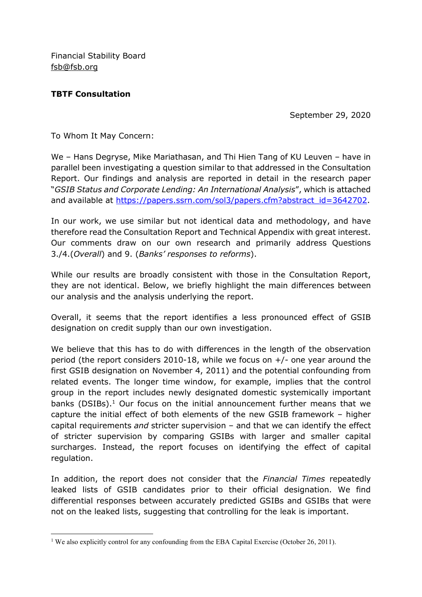Financial Stability Board fsb@fsb.org

## TBTF Consultation

-

September 29, 2020

To Whom It May Concern:

We – Hans Degryse, Mike Mariathasan, and Thi Hien Tang of KU Leuven – have in parallel been investigating a question similar to that addressed in the Consultation Report. Our findings and analysis are reported in detail in the research paper "GSIB Status and Corporate Lending: An International Analysis", which is attached and available at https://papers.ssrn.com/sol3/papers.cfm?abstract\_id=3642702.

In our work, we use similar but not identical data and methodology, and have therefore read the Consultation Report and Technical Appendix with great interest. Our comments draw on our own research and primarily address Questions 3./4.(Overall) and 9. (Banks' responses to reforms).

While our results are broadly consistent with those in the Consultation Report, they are not identical. Below, we briefly highlight the main differences between our analysis and the analysis underlying the report.

Overall, it seems that the report identifies a less pronounced effect of GSIB designation on credit supply than our own investigation.

We believe that this has to do with differences in the length of the observation period (the report considers 2010-18, while we focus on +/- one year around the first GSIB designation on November 4, 2011) and the potential confounding from related events. The longer time window, for example, implies that the control group in the report includes newly designated domestic systemically important banks (DSIBs).<sup>1</sup> Our focus on the initial announcement further means that we capture the initial effect of both elements of the new GSIB framework – higher capital requirements and stricter supervision  $-$  and that we can identify the effect of stricter supervision by comparing GSIBs with larger and smaller capital surcharges. Instead, the report focuses on identifying the effect of capital regulation.

In addition, the report does not consider that the *Financial Times* repeatedly leaked lists of GSIB candidates prior to their official designation. We find differential responses between accurately predicted GSIBs and GSIBs that were not on the leaked lists, suggesting that controlling for the leak is important.

<sup>&</sup>lt;sup>1</sup> We also explicitly control for any confounding from the EBA Capital Exercise (October 26, 2011).